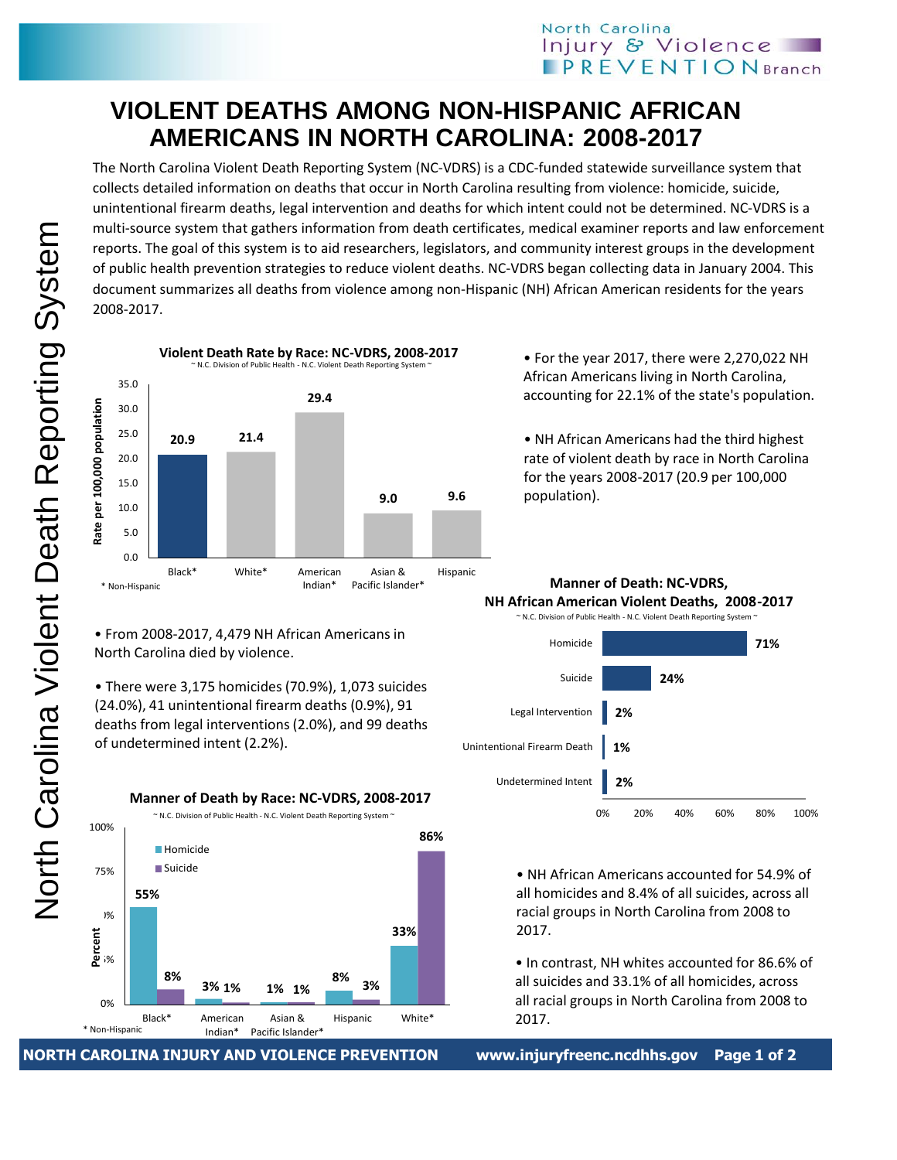## **VIOLENT DEATHS AMONG NON-HISPANIC AFRICAN AMERICANS IN NORTH CAROLINA: 2008-2017**

The North Carolina Violent Death Reporting System (NC-VDRS) is a CDC-funded statewide surveillance system that collects detailed information on deaths that occur in North Carolina resulting from violence: homicide, suicide, unintentional firearm deaths, legal intervention and deaths for which intent could not be determined. NC-VDRS is a multi-source system that gathers information from death certificates, medical examiner reports and law enforcement reports. The goal of this system is to aid researchers, legislators, and community interest groups in the development of public health prevention strategies to reduce violent deaths. NC-VDRS began collecting data in January 2004. This document summarizes all deaths from violence among non-Hispanic (NH) African American residents for the years 2008-2017.



• From 2008-2017, 4,479 NH African Americans in North Carolina died by violence.

• There were 3,175 homicides (70.9%), 1,073 suicides (24.0%), 41 unintentional firearm deaths (0.9%), 91 deaths from legal interventions (2.0%), and 99 deaths of undetermined intent (2.2%).



**NORTH CAROLINA INJURY AND VIOLENCE PREVENTION www.injuryfreenc.ncdhhs.gov Page 1 of 2**

• For the year 2017, there were 2,270,022 NH African Americans living in North Carolina, accounting for 22.1% of the state's population.

• NH African Americans had the third highest rate of violent death by race in North Carolina for the years 2008-2017 (20.9 per 100,000 population).

**Manner of Death: NC-VDRS, NH African American Violent Deaths, 2008-2017**



• NH African Americans accounted for 54.9% of all homicides and 8.4% of all suicides, across all racial groups in North Carolina from 2008 to 2017.

• In contrast, NH whites accounted for 86.6% of all suicides and 33.1% of all homicides, across all racial groups in North Carolina from 2008 to 2017.